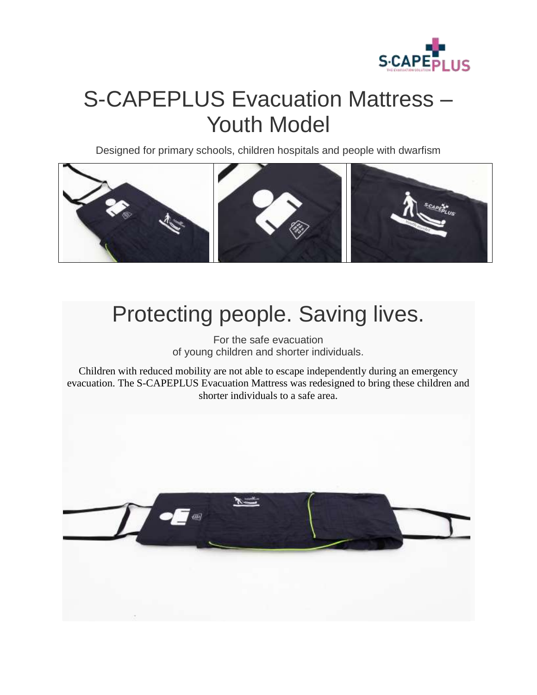

## S-CAPEPLUS Evacuation Mattress – Youth Model

Designed for primary schools, children hospitals and people with dwarfism



### Protecting people. Saving lives.

For the safe evacuation of young children and shorter individuals.

Children with reduced mobility are not able to escape independently during an emergency evacuation. The S-CAPEPLUS Evacuation Mattress was redesigned to bring these children and shorter individuals to a safe area.

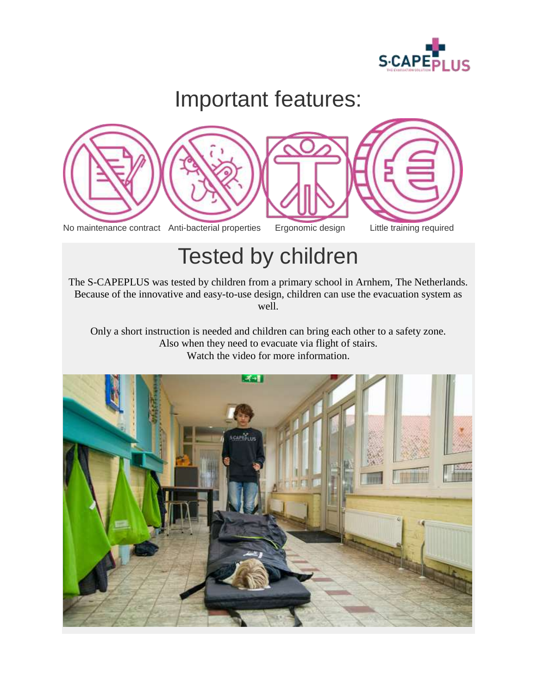

# Important features:



## Tested by children

The S-CAPEPLUS was tested by children from a primary school in Arnhem, The Netherlands. Because of the innovative and easy-to-use design, children can use the evacuation system as well.

Only a short instruction is needed and children can bring each other to a safety zone. Also when they need to evacuate via flight of stairs. Watch the video for more information.

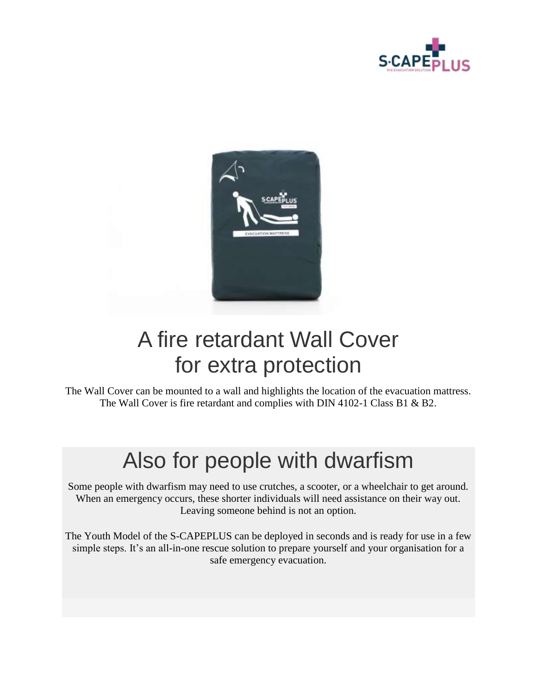



### A fire retardant Wall Cover for extra protection

The Wall Cover can be mounted to a wall and highlights the location of the evacuation mattress. The Wall Cover is fire retardant and complies with DIN 4102-1 Class B1 & B2.

### Also for people with dwarfism

Some people with dwarfism may need to use crutches, a scooter, or a wheelchair to get around. When an emergency occurs, these shorter individuals will need assistance on their way out. Leaving someone behind is not an option.

The Youth Model of the S-CAPEPLUS can be deployed in seconds and is ready for use in a few simple steps. It's an all-in-one rescue solution to prepare yourself and your organisation for a safe emergency evacuation.